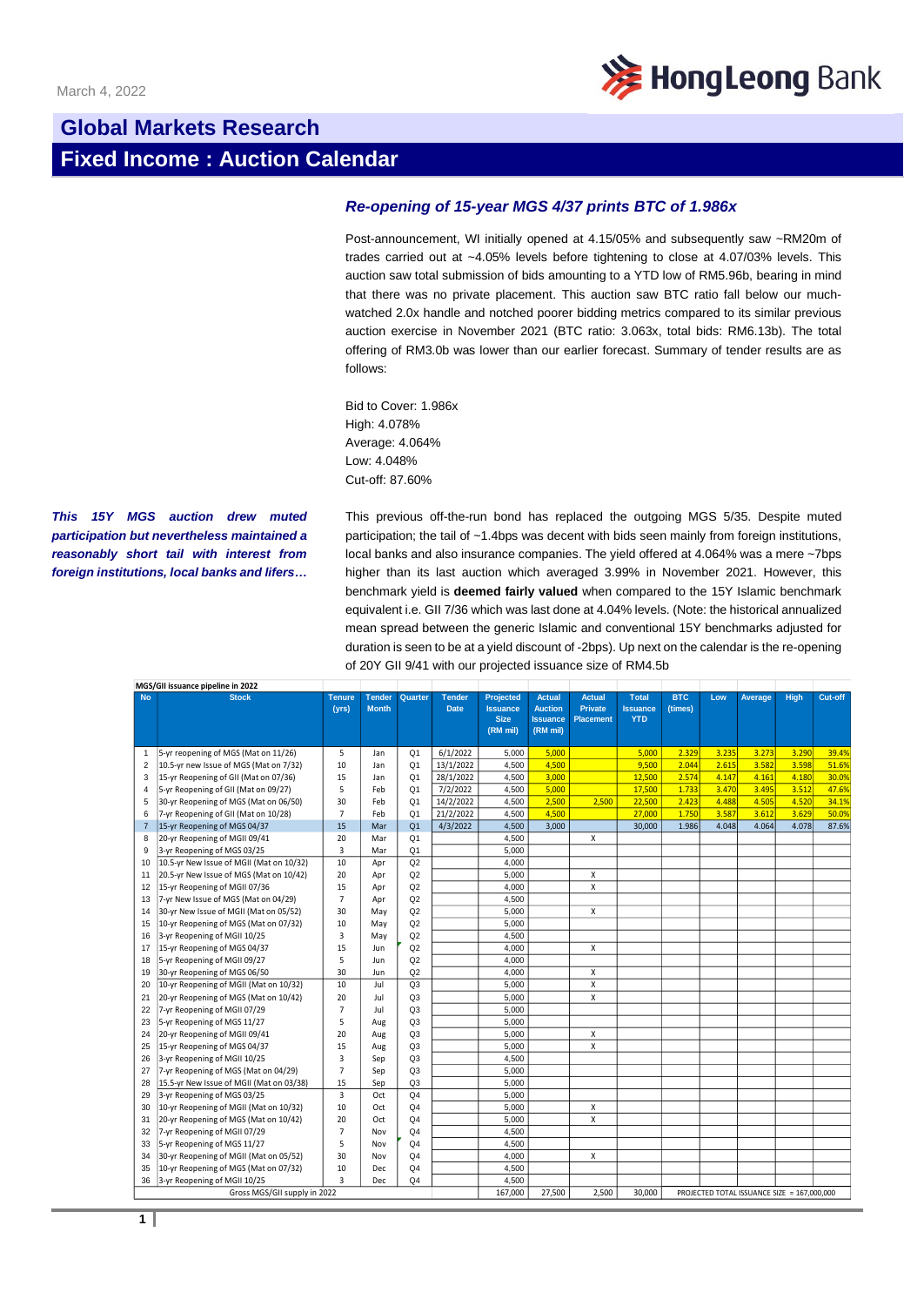

## **Global Markets Research Fixed Income : Auction Calendar**

## *Re-opening of 15-year MGS 4/37 prints BTC of 1.986x*

Post-announcement, WI initially opened at 4.15/05% and subsequently saw ~RM20m of trades carried out at ~4.05% levels before tightening to close at 4.07/03% levels. This auction saw total submission of bids amounting to a YTD low of RM5.96b, bearing in mind that there was no private placement. This auction saw BTC ratio fall below our muchwatched 2.0x handle and notched poorer bidding metrics compared to its similar previous auction exercise in November 2021 (BTC ratio: 3.063x, total bids: RM6.13b). The total offering of RM3.0b was lower than our earlier forecast. Summary of tender results are as follows:

Bid to Cover: 1.986x High: 4.078% Average: 4.064% Low: 4.048% Cut-off: 87.60%

*This 15Y MGS auction drew muted participation but nevertheless maintained a reasonably short tail with interest from foreign institutions, local banks and lifers…*

This previous off-the-run bond has replaced the outgoing MGS 5/35. Despite muted participation; the tail of ~1.4bps was decent with bids seen mainly from foreign institutions, local banks and also insurance companies. The yield offered at 4.064% was a mere ~7bps higher than its last auction which averaged 3.99% in November 2021. However, this benchmark yield is **deemed fairly valued** when compared to the 15Y Islamic benchmark equivalent i.e. GII 7/36 which was last done at 4.04% levels. (Note: the historical annualized mean spread between the generic Islamic and conventional 15Y benchmarks adjusted for duration is seen to be at a yield discount of -2bps). Up next on the calendar is the re-opening of 20Y GII 9/41 with our projected issuance size of RM4.5b

|                              | MGS/GII issuance pipeline in 2022        |                        |                               |                |                              |                                                                |                                                                |                                                     |                                               |                       |       |                                             |       |         |
|------------------------------|------------------------------------------|------------------------|-------------------------------|----------------|------------------------------|----------------------------------------------------------------|----------------------------------------------------------------|-----------------------------------------------------|-----------------------------------------------|-----------------------|-------|---------------------------------------------|-------|---------|
| <b>No</b>                    | <b>Stock</b>                             | <b>Tenure</b><br>(yrs) | <b>Tender</b><br><b>Month</b> | Quarter        | <b>Tender</b><br><b>Date</b> | <b>Projected</b><br><b>Issuance</b><br><b>Size</b><br>(RM mil) | <b>Actual</b><br><b>Auction</b><br><b>Issuance</b><br>(RM mil) | <b>Actual</b><br><b>Private</b><br><b>Placement</b> | <b>Total</b><br><b>Issuance</b><br><b>YTD</b> | <b>BTC</b><br>(times) | Low   | Average                                     | High  | Cut-off |
| $\mathbf{1}$                 | 5-yr reopening of MGS (Mat on 11/26)     | 5                      | Jan                           | Q <sub>1</sub> | 6/1/2022                     | 5,000                                                          | 5,000                                                          |                                                     | 5,000                                         | 2.329                 | 3.235 | 3.273                                       | 3.290 | 39.4%   |
| $\overline{2}$               | 10.5-yr new Issue of MGS (Mat on 7/32)   | 10                     | Jan                           | Q <sub>1</sub> | 13/1/2022                    | 4,500                                                          | 4,500                                                          |                                                     | 9,500                                         | 2.044                 | 2.615 | 3.582                                       | 3.598 | 51.6%   |
| 3                            | 15-yr Reopening of GII (Mat on 07/36)    | 15                     | Jan                           | Q <sub>1</sub> | 28/1/2022                    | 4,500                                                          | 3,000                                                          |                                                     | 12,500                                        | 2.574                 | 4.147 | 4.161                                       | 4.180 | 30.0%   |
| $\overline{4}$               | 5-yr Reopening of GII (Mat on 09/27)     | 5                      | Feb                           | Q <sub>1</sub> | 7/2/2022                     | 4.500                                                          | 5.000                                                          |                                                     | 17,500                                        | 1.733                 | 3.470 | 3.495                                       | 3.512 | 47.6%   |
| 5                            | 30-yr Reopening of MGS (Mat on 06/50)    | 30                     | Feb                           | O <sub>1</sub> | 14/2/2022                    | 4,500                                                          | 2,500                                                          | 2,500                                               | 22,500                                        | 2.423                 | 4.488 | 4.505                                       | 4.520 | 34.1%   |
| 6                            | 7-yr Reopening of GII (Mat on 10/28)     | $\overline{7}$         | Feb                           | O <sub>1</sub> | 21/2/2022                    | 4,500                                                          | 4,500                                                          |                                                     | 27,000                                        | 1.750                 | 3.587 | 3.612                                       | 3.629 | 50.0%   |
| $\overline{7}$               | 15-yr Reopening of MGS 04/37             | 15                     | Mar                           | Q <sub>1</sub> | 4/3/2022                     | 4,500                                                          | 3.000                                                          |                                                     | 30,000                                        | 1.986                 | 4.048 | 4.064                                       | 4.078 | 87.6%   |
| 8                            | 20-yr Reopening of MGII 09/41            | 20                     | Mar                           | Q1             |                              | 4.500                                                          |                                                                | X                                                   |                                               |                       |       |                                             |       |         |
| 9                            | 3-vr Reopening of MGS 03/25              | 3                      | Mar                           | Q <sub>1</sub> |                              | 5.000                                                          |                                                                |                                                     |                                               |                       |       |                                             |       |         |
| 10                           | 10.5-yr New Issue of MGII (Mat on 10/32) | 10                     | Apr                           | Q2             |                              | 4.000                                                          |                                                                |                                                     |                                               |                       |       |                                             |       |         |
| 11                           | 20.5-yr New Issue of MGS (Mat on 10/42)  | 20                     | Apr                           | Q2             |                              | 5,000                                                          |                                                                | X                                                   |                                               |                       |       |                                             |       |         |
| 12                           | 15-yr Reopening of MGII 07/36            | 15                     | Apr                           | Q2             |                              | 4,000                                                          |                                                                | X                                                   |                                               |                       |       |                                             |       |         |
| 13                           | 7-yr New Issue of MGS (Mat on 04/29)     | $\overline{7}$         | Apr                           | Q2             |                              | 4,500                                                          |                                                                |                                                     |                                               |                       |       |                                             |       |         |
| 14                           | 30-yr New Issue of MGII (Mat on 05/52)   | 30                     | May                           | Q2             |                              | 5.000                                                          |                                                                | X                                                   |                                               |                       |       |                                             |       |         |
| 15                           | 10-yr Reopening of MGS (Mat on 07/32)    | 10                     | May                           | Q2             |                              | 5,000                                                          |                                                                |                                                     |                                               |                       |       |                                             |       |         |
| 16                           | 3-yr Reopening of MGII 10/25             | 3                      | May                           | Q2             |                              | 4,500                                                          |                                                                |                                                     |                                               |                       |       |                                             |       |         |
| 17                           | 15-yr Reopening of MGS 04/37             | 15                     | Jun                           | Q2             |                              | 4.000                                                          |                                                                | $\pmb{\times}$                                      |                                               |                       |       |                                             |       |         |
| 18                           | 5-yr Reopening of MGII 09/27             | 5                      | Jun                           | Q2             |                              | 4,000                                                          |                                                                |                                                     |                                               |                       |       |                                             |       |         |
| 19                           | 30-yr Reopening of MGS 06/50             | 30                     | Jun                           | Q2             |                              | 4.000                                                          |                                                                | X                                                   |                                               |                       |       |                                             |       |         |
| 20                           | 10-yr Reopening of MGII (Mat on 10/32)   | 10                     | Jul                           | Q <sub>3</sub> |                              | 5,000                                                          |                                                                | $\pmb{\mathsf{X}}$                                  |                                               |                       |       |                                             |       |         |
| 21                           | 20-yr Reopening of MGS (Mat on 10/42)    | 20                     | Jul                           | Q <sub>3</sub> |                              | 5,000                                                          |                                                                | X                                                   |                                               |                       |       |                                             |       |         |
| 22                           | 7-yr Reopening of MGII 07/29             | $\overline{7}$         | Jul                           | Q <sub>3</sub> |                              | 5,000                                                          |                                                                |                                                     |                                               |                       |       |                                             |       |         |
| 23                           | 5-yr Reopening of MGS 11/27              | 5                      | Aug                           | Q <sub>3</sub> |                              | 5,000                                                          |                                                                |                                                     |                                               |                       |       |                                             |       |         |
| 24                           | 20-yr Reopening of MGII 09/41            | 20                     | Aug                           | Q <sub>3</sub> |                              | 5.000                                                          |                                                                | X                                                   |                                               |                       |       |                                             |       |         |
| 25                           | 15-yr Reopening of MGS 04/37             | 15                     | Aug                           | Q3             |                              | 5,000                                                          |                                                                | $\pmb{\mathsf{X}}$                                  |                                               |                       |       |                                             |       |         |
| 26                           | 3-yr Reopening of MGII 10/25             | 3                      | Sep                           | Q3             |                              | 4.500                                                          |                                                                |                                                     |                                               |                       |       |                                             |       |         |
| 27                           | 7-yr Reopening of MGS (Mat on 04/29)     | $\overline{7}$         | Sep                           | Q <sub>3</sub> |                              | 5,000                                                          |                                                                |                                                     |                                               |                       |       |                                             |       |         |
| 28                           | 15.5-yr New Issue of MGII (Mat on 03/38) | 15                     | Sep                           | Q <sub>3</sub> |                              | 5.000                                                          |                                                                |                                                     |                                               |                       |       |                                             |       |         |
| 29                           | 3-yr Reopening of MGS 03/25              | 3                      | Oct                           | Q <sub>4</sub> |                              | 5.000                                                          |                                                                |                                                     |                                               |                       |       |                                             |       |         |
| 30                           | 10-yr Reopening of MGII (Mat on 10/32)   | 10                     | Oct                           | Q <sub>4</sub> |                              | 5,000                                                          |                                                                | X                                                   |                                               |                       |       |                                             |       |         |
| 31                           | 20-yr Reopening of MGS (Mat on 10/42)    | 20                     | Oct                           | Q <sub>4</sub> |                              | 5,000                                                          |                                                                | X                                                   |                                               |                       |       |                                             |       |         |
| 32                           | 7-yr Reopening of MGII 07/29             | $\overline{7}$         | Nov                           | Q <sub>4</sub> |                              | 4,500                                                          |                                                                |                                                     |                                               |                       |       |                                             |       |         |
| 33                           | 5-yr Reopening of MGS 11/27              | 5                      | Nov                           | Q <sub>4</sub> |                              | 4,500                                                          |                                                                |                                                     |                                               |                       |       |                                             |       |         |
| 34                           | 30-yr Reopening of MGII (Mat on 05/52)   | 30                     | Nov                           | Q <sub>4</sub> |                              | 4.000                                                          |                                                                | X                                                   |                                               |                       |       |                                             |       |         |
| 35                           | 10-yr Reopening of MGS (Mat on 07/32)    | 10                     | Dec                           | Q4             |                              | 4,500                                                          |                                                                |                                                     |                                               |                       |       |                                             |       |         |
| 36                           | 3-yr Reopening of MGII 10/25             | 3                      | Dec                           | Q <sub>4</sub> |                              | 4,500                                                          |                                                                |                                                     |                                               |                       |       |                                             |       |         |
| Gross MGS/GII supply in 2022 |                                          |                        |                               |                |                              | 167.000                                                        | 27.500                                                         | 2.500                                               | 30.000                                        |                       |       | PROJECTED TOTAL ISSUANCE SIZE = 167.000.000 |       |         |